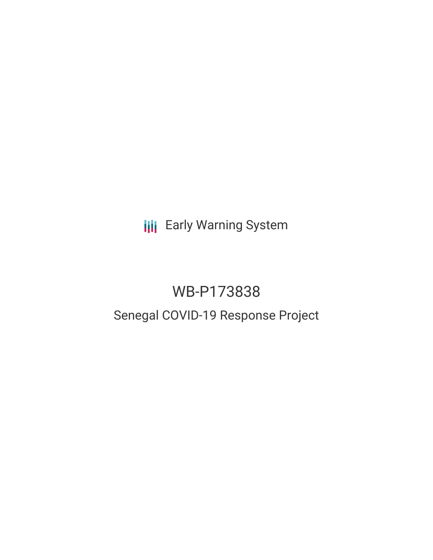**III** Early Warning System

# WB-P173838 Senegal COVID-19 Response Project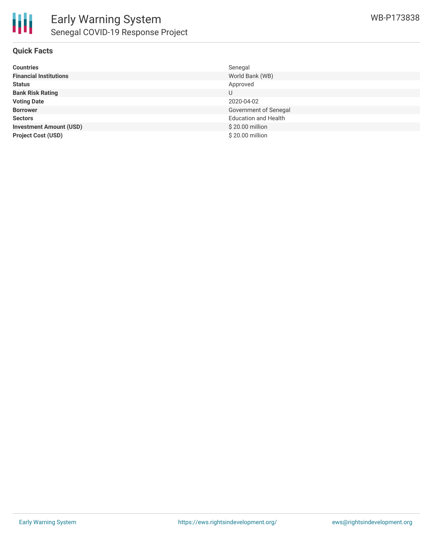

| <b>Countries</b>               | Senegal                     |
|--------------------------------|-----------------------------|
| <b>Financial Institutions</b>  | World Bank (WB)             |
| <b>Status</b>                  | Approved                    |
| <b>Bank Risk Rating</b>        | U                           |
| <b>Voting Date</b>             | 2020-04-02                  |
| <b>Borrower</b>                | Government of Senegal       |
| <b>Sectors</b>                 | <b>Education and Health</b> |
| <b>Investment Amount (USD)</b> | \$20.00 million             |
| <b>Project Cost (USD)</b>      | \$20.00 million             |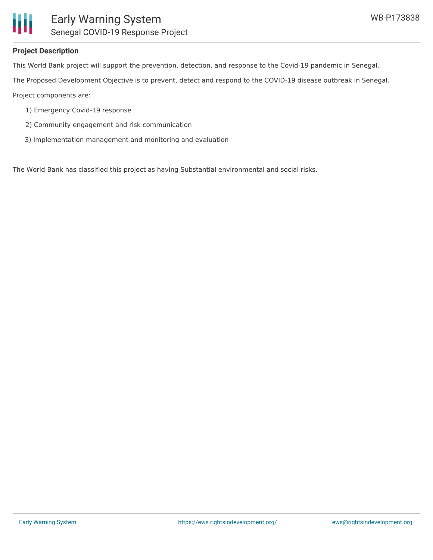

#### **Project Description**

This World Bank project will support the prevention, detection, and response to the Covid-19 pandemic in Senegal.

The Proposed Development Objective is to prevent, detect and respond to the COVID-19 disease outbreak in Senegal.

Project components are:

- 1) Emergency Covid-19 response
- 2) Community engagement and risk communication
- 3) Implementation management and monitoring and evaluation

The World Bank has classified this project as having Substantial environmental and social risks.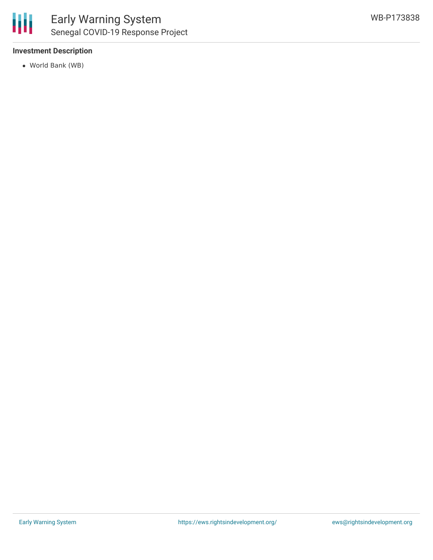

### **Investment Description**

World Bank (WB)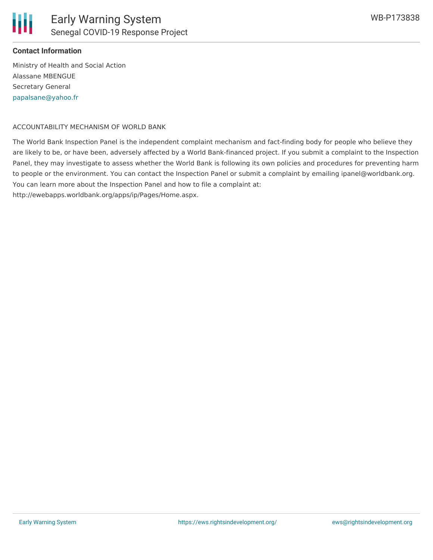

## **Contact Information**

Ministry of Health and Social Action Alassane MBENGUE Secretary General [papalsane@yahoo.fr](mailto:papalsane@yahoo.fr)

#### ACCOUNTABILITY MECHANISM OF WORLD BANK

The World Bank Inspection Panel is the independent complaint mechanism and fact-finding body for people who believe they are likely to be, or have been, adversely affected by a World Bank-financed project. If you submit a complaint to the Inspection Panel, they may investigate to assess whether the World Bank is following its own policies and procedures for preventing harm to people or the environment. You can contact the Inspection Panel or submit a complaint by emailing ipanel@worldbank.org. You can learn more about the Inspection Panel and how to file a complaint at: http://ewebapps.worldbank.org/apps/ip/Pages/Home.aspx.